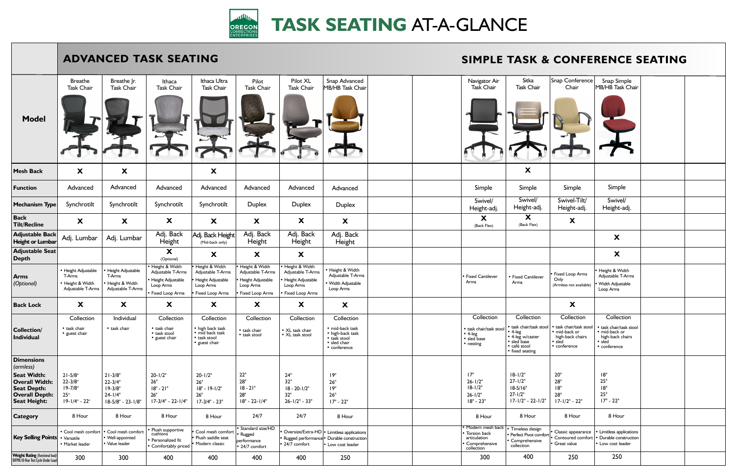|                                                                                                                                                     |                                                                          | <b>ADVANCED TASK SEATING</b><br><b>SIMPLE TASK &amp;</b>                        |                                                                                                |                                                                                                 |                                                                                          |                                                                                                |                                                                                                                |  |  |                                                                                     |                                                                                                                            |  |  |
|-----------------------------------------------------------------------------------------------------------------------------------------------------|--------------------------------------------------------------------------|---------------------------------------------------------------------------------|------------------------------------------------------------------------------------------------|-------------------------------------------------------------------------------------------------|------------------------------------------------------------------------------------------|------------------------------------------------------------------------------------------------|----------------------------------------------------------------------------------------------------------------|--|--|-------------------------------------------------------------------------------------|----------------------------------------------------------------------------------------------------------------------------|--|--|
| <b>Model</b>                                                                                                                                        | <b>Breathe</b><br><b>Task Chair</b>                                      | Breathe Jr.<br>Task Chair                                                       | Ithaca<br><b>Task Chair</b>                                                                    | Ithaca Ultra<br><b>Task Chair</b>                                                               | Pilot<br><b>Task Chair</b>                                                               | Pilot XL<br><b>Task Chair</b>                                                                  | Snap Advanced<br>MB/HB Task Chair                                                                              |  |  | Navigator Air<br><b>Task Chair</b>                                                  | Sitka<br><b>Task Chair</b>                                                                                                 |  |  |
| <b>Mesh Back</b>                                                                                                                                    | X                                                                        | X                                                                               |                                                                                                | X                                                                                               |                                                                                          |                                                                                                |                                                                                                                |  |  |                                                                                     | $\boldsymbol{\mathsf{X}}$                                                                                                  |  |  |
| <b>Function</b>                                                                                                                                     | Advanced                                                                 | Advanced                                                                        | Advanced                                                                                       | Advanced                                                                                        | Advanced                                                                                 | Advanced                                                                                       | Advanced                                                                                                       |  |  | Simple                                                                              | Simple                                                                                                                     |  |  |
| <b>Mechanism Type</b>                                                                                                                               | Synchrotilt                                                              | Synchrotilt                                                                     | Synchrotilt                                                                                    | Synchrotilt                                                                                     | <b>Duplex</b>                                                                            | Duplex                                                                                         | <b>Duplex</b>                                                                                                  |  |  | Swivel/<br>Height-adj.                                                              | Swivel/<br>Height-adj.                                                                                                     |  |  |
| <b>Back</b><br><b>Tilt/Recline</b>                                                                                                                  | X                                                                        | X                                                                               | X                                                                                              | X                                                                                               | X                                                                                        | X                                                                                              | X                                                                                                              |  |  | X<br>(Back Flex)                                                                    | X<br>(Back Flex)                                                                                                           |  |  |
| <b>Adjustable Back</b><br><b>Height or Lumbar</b>                                                                                                   | Adj. Lumbar                                                              | Adj. Lumbar                                                                     | Adj. Back<br>Height                                                                            | Adj. Back Height<br>(Mid-back only)                                                             | Adj. Back<br>Height                                                                      | Adj. Back<br>Height                                                                            | Adj. Back<br>Height                                                                                            |  |  |                                                                                     |                                                                                                                            |  |  |
| <b>Adjustable Seat</b><br><b>Depth</b>                                                                                                              |                                                                          |                                                                                 | X<br>(Optional)                                                                                | X                                                                                               | X                                                                                        | X                                                                                              |                                                                                                                |  |  |                                                                                     |                                                                                                                            |  |  |
| <b>Arms</b><br>(Optional)                                                                                                                           | • Height Adjustable<br>T-Arms<br>• Height & Width<br>Adjustable T-Arms   | • Height Adjustable<br>T-Arms<br>Height & Width<br>Adjustable T-Arms            | • Height & Width<br>Adjustable T-Arms<br>• Height Adjustable<br>Loop Arms<br>• Fixed Loop Arms | Height & Width<br>Adjustable T-Arms<br>Height Adjustable<br>Loop Arms<br><b>Fixed Loop Arms</b> | Height & Width<br>Adjustable T-Arms<br>Height Adjustable<br>Loop Arms<br>Fixed Loop Arms | • Height & Width<br>Adjustable T-Arms<br>• Height Adjustable<br>Loop Arms<br>• Fixed Loop Arms | • Height & Width<br>Adjustable T-Arms<br>· Width Adjustable<br>Loop Arms                                       |  |  | <b>Fixed Cantilever</b><br>Arms                                                     | • Fixed Cantilever<br>Arms                                                                                                 |  |  |
| <b>Back Lock</b>                                                                                                                                    | X                                                                        | X                                                                               | X                                                                                              | X                                                                                               | X                                                                                        | X                                                                                              | X                                                                                                              |  |  |                                                                                     |                                                                                                                            |  |  |
| <b>Collection/</b><br><b>Individual</b>                                                                                                             | Collection<br>• task chair<br>• guest chair                              | Individual<br>• task chair                                                      | Collection<br>• task chair<br>• task stool<br>• guest chair                                    | Collection<br>• high back task<br>· mid back task<br>• task stool<br>• guest chair              | Collection<br>• task chair<br>• task stool                                               | Collection<br>• XL task chair<br>• XL task stool                                               | Collection<br>· mid-back task<br>• high-back task<br>• task stool<br>· sled chair<br>$\bullet$ conference      |  |  | Collection<br>· task chair/task stool<br>• 4-leg<br>• sled base<br>• nesting        | Collection<br>• task chair/task sto<br>$\cdot$ 4-leg<br>• 4-leg w/caster<br>· sled base<br>· café stool<br>• fixed seating |  |  |
| <b>Dimensions</b><br>(armless)<br><b>Seat Width:</b><br><b>Overall Width:</b><br><b>Seat Depth:</b><br><b>Overall Depth:</b><br><b>Seat Height:</b> | $21 - 5/8$ "<br>$22 - 3/8"$<br>$19 - 7/8$ "<br>25"<br>$19 - 1/4$ " - 22" | $21 - 3/8"$<br>$22 - 3/4"$<br>$19 - 3/8"$<br>$24 - 1/4"$<br>$18-5/8" - 23-1/8"$ | $20 - 1/2"$<br>26"<br>$18" - 21"$<br>26"<br>$17-3/4" - 22-1/4"$                                | $20 - 1/2"$<br>26"<br>$18" - 19-1/2"$<br>$26"$<br>$17-3/4" - 23"$                               | $22"$<br>28"<br>$18 - 21"$<br>28"<br>$18" - 22 - 1/4"$                                   | 24"<br>32"<br>$18 - 20 - 1/2"$<br>32"<br>$26 - 1/2" - 33"$                                     | 19"<br>26"<br>19"<br>26"<br>$17" - 22"$                                                                        |  |  | 17"<br>$26 - 1/2"$<br>$18 - 1/2"$<br>$26 - 1/2"$<br>$18" - 23"$                     | $18 - 1/2"$<br>$27 - 1/2"$<br>$18-5/16"$<br>$27 - 1/2"$<br>$17 - 1/2" - 22 - 1/2$                                          |  |  |
| Category                                                                                                                                            | 8 Hour                                                                   | 8 Hour                                                                          | 8 Hour                                                                                         | 8 Hour                                                                                          | 24/7                                                                                     | 24/7                                                                                           | 8 Hour                                                                                                         |  |  | 8 Hour                                                                              | 8 Hour                                                                                                                     |  |  |
| <b>Key Selling Points</b>                                                                                                                           | • Cool mesh comfort<br>• Versatile<br>• Market leader                    | • Cool mesh comfort<br>• Well-appointed<br>• Value leader                       | • Plush supportive<br>cushions<br>• Personalized fit<br>• Comfortably priced                   | Cool mesh comfort<br>Plush saddle seat<br>Modern classic                                        | Standard size/HD<br>• Rugged<br>performance<br>• 24/7 comfort                            | • 24/7 comfort                                                                                 | Oversize/Extra-HD   • Limitless applications<br>Rugged performance • Durable construction<br>• Low cost leader |  |  | · Modern mesh back<br>• Torsion back<br>articulation<br>Comprehensive<br>collection | Timeless design<br>Perfect Pivot comf<br>Comprehensive<br>collection                                                       |  |  |
| <b>Weight Rating (functional load)</b><br>BIFMA 10-Year Test Cycle Under Load                                                                       | 300                                                                      | 300                                                                             | 400                                                                                            | 400                                                                                             | 400                                                                                      | 400                                                                                            | 250                                                                                                            |  |  | 300                                                                                 | 400                                                                                                                        |  |  |

## nfort  $1/2$ "  $|$ • Classic appearance • Contoured comfort • Great value **X X** 8 Hour Snap Conference Chair Simple Swivel-Tilt/ Height-adj. 20" 28" 18" 28" 17-1/2" - 22" **Collection** • task chair/task stool • mid-back or high-back chairs • sled • conference 250 **X X** • Height & Width Adjustable T-Arms • Width Adjustable Loop Arms • Limitless applications • Durable construction • Low cost leader 8 Hour Snap Simple MB/HB Task Chair Simple Swivel/ Height-adj. 18" 25" 18" 25" 17" - 22" **Collection** • task chair/task stool • mid-back or high-back chairs • sled • conference 250 Fixed Loop Arms Only (Armless not available) **& CONFERENCE SEATING**



## **TASK SEATING** AT-A-GLANCE